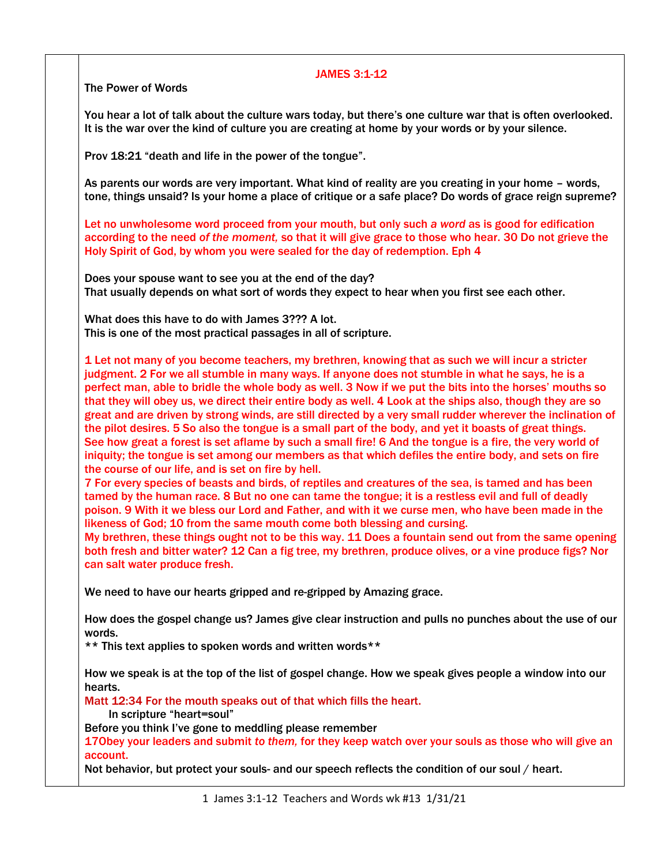## JAMES 3:1-12

The Power of Words

You hear a lot of talk about the culture wars today, but there's one culture war that is often overlooked. It is the war over the kind of culture you are creating at home by your words or by your silence.

Prov 18:21 "death and life in the power of the tongue".

As parents our words are very important. What kind of reality are you creating in your home – words, tone, things unsaid? Is your home a place of critique or a safe place? Do words of grace reign supreme?

Let no unwholesome word proceed from your mouth, but only such *a word* as is good for edification according to the need *of the moment,* so that it will give grace to those who hear. 30 Do not grieve the Holy Spirit of God, by whom you were sealed for the day of redemption. Eph 4

Does your spouse want to see you at the end of the day? That usually depends on what sort of words they expect to hear when you first see each other.

What does this have to do with James 3??? A lot. This is one of the most practical passages in all of scripture.

1 Let not many of you become teachers, my brethren, knowing that as such we will incur a stricter judgment. 2 For we all stumble in many ways. If anyone does not stumble in what he says, he is a perfect man, able to bridle the whole body as well. 3 Now if we put the bits into the horses' mouths so that they will obey us, we direct their entire body as well. 4 Look at the ships also, though they are so great and are driven by strong winds, are still directed by a very small rudder wherever the inclination of the pilot desires. 5 So also the tongue is a small part of the body, and yet it boasts of great things. See how great a forest is set aflame by such a small fire! 6 And the tongue is a fire, the very world of iniquity; the tongue is set among our members as that which defiles the entire body, and sets on fire the course of our life, and is set on fire by hell.

7 For every species of beasts and birds, of reptiles and creatures of the sea, is tamed and has been tamed by the human race. 8 But no one can tame the tongue; it is a restless evil and full of deadly poison. 9 With it we bless our Lord and Father, and with it we curse men, who have been made in the likeness of God; 10 from the same mouth come both blessing and cursing.

My brethren, these things ought not to be this way. 11 Does a fountain send out from the same opening both fresh and bitter water? 12 Can a fig tree, my brethren, produce olives, or a vine produce figs? Nor can salt water produce fresh.

We need to have our hearts gripped and re-gripped by Amazing grace.

How does the gospel change us? James give clear instruction and pulls no punches about the use of our words.

\*\* This text applies to spoken words and written words\*\*

How we speak is at the top of the list of gospel change. How we speak gives people a window into our hearts.

Matt 12:34 For the mouth speaks out of that which fills the heart.

In scripture "heart=soul"

Before you think I've gone to meddling please remember

17Obey your leaders and submit *to them,* for they keep watch over your souls as those who will give an account.

Not behavior, but protect your souls- and our speech reflects the condition of our soul / heart.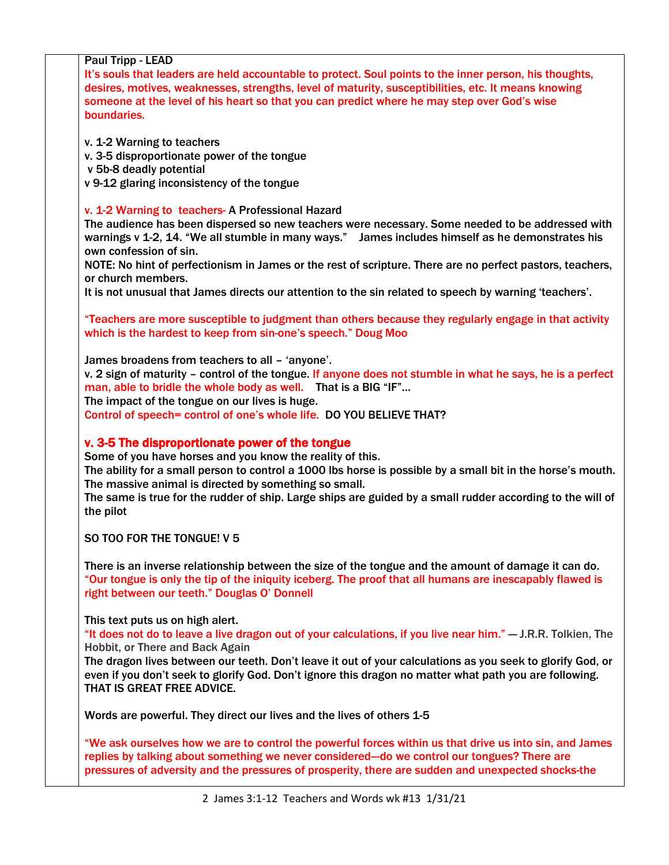| <b>Paul Tripp - LEAD</b><br>It's souls that leaders are held accountable to protect. Soul points to the inner person, his thoughts,<br>desires, motives, weaknesses, strengths, level of maturity, susceptibilities, etc. It means knowing<br>someone at the level of his heart so that you can predict where he may step over God's wise<br>boundaries.                                                                                   |
|--------------------------------------------------------------------------------------------------------------------------------------------------------------------------------------------------------------------------------------------------------------------------------------------------------------------------------------------------------------------------------------------------------------------------------------------|
| v. 1-2 Warning to teachers<br>v. 3-5 disproportionate power of the tongue<br>v 5b-8 deadly potential<br>v 9-12 glaring inconsistency of the tongue                                                                                                                                                                                                                                                                                         |
| v. 1-2 Warning to teachers- A Professional Hazard<br>The audience has been dispersed so new teachers were necessary. Some needed to be addressed with<br>warnings v 1-2, 14. "We all stumble in many ways." James includes himself as he demonstrates his<br>own confession of sin.                                                                                                                                                        |
| NOTE: No hint of perfectionism in James or the rest of scripture. There are no perfect pastors, teachers,<br>or church members.<br>It is not unusual that James directs our attention to the sin related to speech by warning 'teachers'.                                                                                                                                                                                                  |
| "Teachers are more susceptible to judgment than others because they regularly engage in that activity<br>which is the hardest to keep from sin-one's speech." Doug Moo                                                                                                                                                                                                                                                                     |
| James broadens from teachers to all - 'anyone'.<br>v. 2 sign of maturity - control of the tongue. If anyone does not stumble in what he says, he is a perfect<br>man, able to bridle the whole body as well. That is a BIG "IF"<br>The impact of the tongue on our lives is huge.<br>Control of speech= control of one's whole life. DO YOU BELIEVE THAT?                                                                                  |
| v. 3-5 The disproportionate power of the tongue<br>Some of you have horses and you know the reality of this.<br>The ability for a small person to control a 1000 lbs horse is possible by a small bit in the horse's mouth.<br>The massive animal is directed by something so small.<br>The same is true for the rudder of ship. Large ships are guided by a small rudder according to the will of<br>the pilot                            |
| SO TOO FOR THE TONGUE! V 5                                                                                                                                                                                                                                                                                                                                                                                                                 |
| There is an inverse relationship between the size of the tongue and the amount of damage it can do.<br>"Our tongue is only the tip of the iniquity iceberg. The proof that all humans are inescapably flawed is<br>right between our teeth." Douglas O' Donnell                                                                                                                                                                            |
| This text puts us on high alert.<br>"It does not do to leave a live dragon out of your calculations, if you live near him." - J.R.R. Tolkien, The<br>Hobbit, or There and Back Again<br>The dragon lives between our teeth. Don't leave it out of your calculations as you seek to glorify God, or<br>even if you don't seek to glorify God. Don't ignore this dragon no matter what path you are following.<br>THAT IS GREAT FREE ADVICE. |
| Words are powerful. They direct our lives and the lives of others 1-5                                                                                                                                                                                                                                                                                                                                                                      |
| "We ask ourselves how we are to control the powerful forces within us that drive us into sin, and James<br>replies by talking about something we never considered-do we control our tongues? There are<br>pressures of adversity and the pressures of prosperity, there are sudden and unexpected shocks-the                                                                                                                               |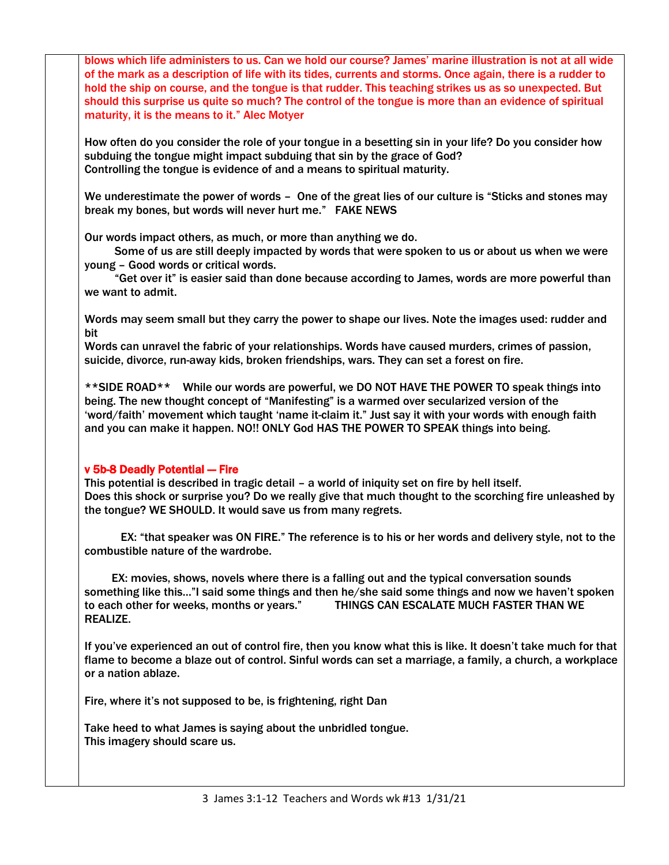blows which life administers to us. Can we hold our course? James' marine illustration is not at all wide of the mark as a description of life with its tides, currents and storms. Once again, there is a rudder to hold the ship on course, and the tongue is that rudder. This teaching strikes us as so unexpected. But should this surprise us quite so much? The control of the tongue is more than an evidence of spiritual maturity, it is the means to it." Alec Motyer

How often do you consider the role of your tongue in a besetting sin in your life? Do you consider how subduing the tongue might impact subduing that sin by the grace of God? Controlling the tongue is evidence of and a means to spiritual maturity.

We underestimate the power of words - One of the great lies of our culture is "Sticks and stones may break my bones, but words will never hurt me." FAKE NEWS

Our words impact others, as much, or more than anything we do.

 Some of us are still deeply impacted by words that were spoken to us or about us when we were young – Good words or critical words.

 "Get over it" is easier said than done because according to James, words are more powerful than we want to admit.

Words may seem small but they carry the power to shape our lives. Note the images used: rudder and bit

Words can unravel the fabric of your relationships. Words have caused murders, crimes of passion, suicide, divorce, run-away kids, broken friendships, wars. They can set a forest on fire.

\*\*SIDE ROAD\*\* While our words are powerful, we DO NOT HAVE THE POWER TO speak things into being. The new thought concept of "Manifesting" is a warmed over secularized version of the 'word/faith' movement which taught 'name it-claim it." Just say it with your words with enough faith and you can make it happen. NO!! ONLY God HAS THE POWER TO SPEAK things into being.

## v 5b-8 Deadly Potential -- Fire

This potential is described in tragic detail – a world of iniquity set on fire by hell itself. Does this shock or surprise you? Do we really give that much thought to the scorching fire unleashed by the tongue? WE SHOULD. It would save us from many regrets.

 EX: "that speaker was ON FIRE." The reference is to his or her words and delivery style, not to the combustible nature of the wardrobe.

 EX: movies, shows, novels where there is a falling out and the typical conversation sounds something like this…"I said some things and then he/she said some things and now we haven't spoken to each other for weeks, months or years." THINGS CAN ESCALATE MUCH FASTER THAN WE REALIZE.

If you've experienced an out of control fire, then you know what this is like. It doesn't take much for that flame to become a blaze out of control. Sinful words can set a marriage, a family, a church, a workplace or a nation ablaze.

Fire, where it's not supposed to be, is frightening, right Dan

Take heed to what James is saying about the unbridled tongue. This imagery should scare us.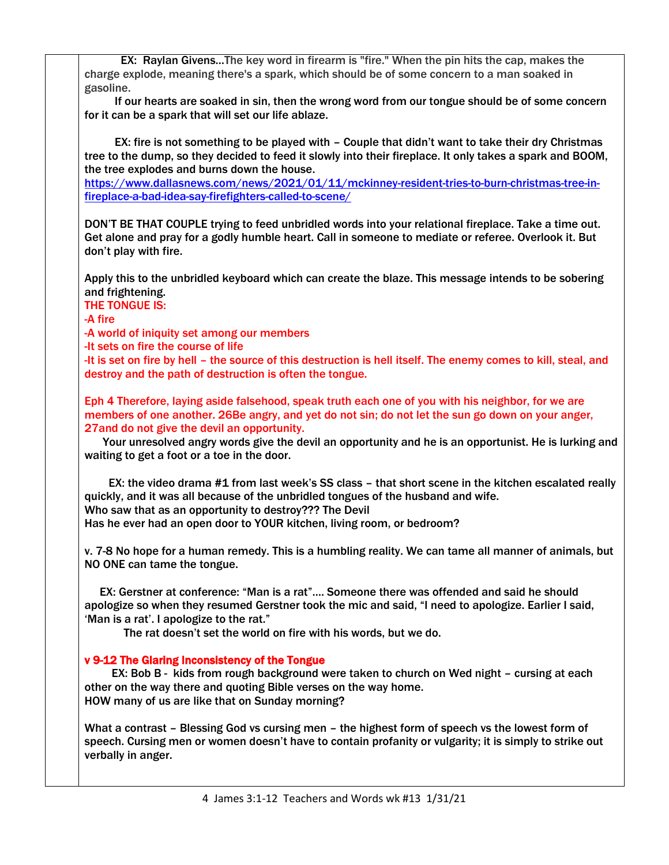| EX: Raylan GivensThe key word in firearm is "fire." When the pin hits the cap, makes the                        |
|-----------------------------------------------------------------------------------------------------------------|
| charge explode, meaning there's a spark, which should be of some concern to a man soaked in                     |
| gasoline.                                                                                                       |
| If our hearts are soaked in sin, then the wrong word from our tongue should be of some concern                  |
| for it can be a spark that will set our life ablaze.                                                            |
|                                                                                                                 |
| EX: fire is not something to be played with - Couple that didn't want to take their dry Christmas               |
| tree to the dump, so they decided to feed it slowly into their fireplace. It only takes a spark and BOOM,       |
| the tree explodes and burns down the house.                                                                     |
| https://www.dallasnews.com/news/2021/01/11/mckinney-resident-tries-to-burn-christmas-tree-in-                   |
| fireplace-a-bad-idea-say-firefighters-called-to-scene/                                                          |
|                                                                                                                 |
| DON'T BE THAT COUPLE trying to feed unbridled words into your relational fireplace. Take a time out.            |
| Get alone and pray for a godly humble heart. Call in someone to mediate or referee. Overlook it. But            |
| don't play with fire.                                                                                           |
|                                                                                                                 |
| Apply this to the unbridled keyboard which can create the blaze. This message intends to be sobering            |
| and frightening.                                                                                                |
| <b>THE TONGUE IS:</b>                                                                                           |
| -A fire                                                                                                         |
| -A world of iniquity set among our members                                                                      |
| -It sets on fire the course of life                                                                             |
| -It is set on fire by hell - the source of this destruction is hell itself. The enemy comes to kill, steal, and |
| destroy and the path of destruction is often the tongue.                                                        |
|                                                                                                                 |
| Eph 4 Therefore, laying aside falsehood, speak truth each one of you with his neighbor, for we are              |
|                                                                                                                 |
| members of one another. 26Be angry, and yet do not sin; do not let the sun go down on your anger,               |
| 27 and do not give the devil an opportunity.                                                                    |
| Your unresolved angry words give the devil an opportunity and he is an opportunist. He is lurking and           |
| waiting to get a foot or a toe in the door.                                                                     |
|                                                                                                                 |
| EX: the video drama #1 from last week's SS class - that short scene in the kitchen escalated really             |
| quickly, and it was all because of the unbridled tongues of the husband and wife.                               |
| Who saw that as an opportunity to destroy??? The Devil                                                          |
| Has he ever had an open door to YOUR kitchen, living room, or bedroom?                                          |
|                                                                                                                 |
| v. 7-8 No hope for a human remedy. This is a humbling reality. We can tame all manner of animals, but           |
| NO ONE can tame the tongue.                                                                                     |
|                                                                                                                 |
| EX: Gerstner at conference: "Man is a rat" Someone there was offended and said he should                        |
| apologize so when they resumed Gerstner took the mic and said, "I need to apologize. Earlier I said,            |
| 'Man is a rat'. I apologize to the rat."                                                                        |
| The rat doesn't set the world on fire with his words, but we do.                                                |
|                                                                                                                 |
| v 9-12 The Glaring Inconsistency of the Tongue                                                                  |
| EX: Bob B - kids from rough background were taken to church on Wed night – cursing at each                      |
| other on the way there and quoting Bible verses on the way home.                                                |
| HOW many of us are like that on Sunday morning?                                                                 |
|                                                                                                                 |
| What a contrast - Blessing God vs cursing men - the highest form of speech vs the lowest form of                |
| speech. Cursing men or women doesn't have to contain profanity or vulgarity; it is simply to strike out         |
| verbally in anger.                                                                                              |
|                                                                                                                 |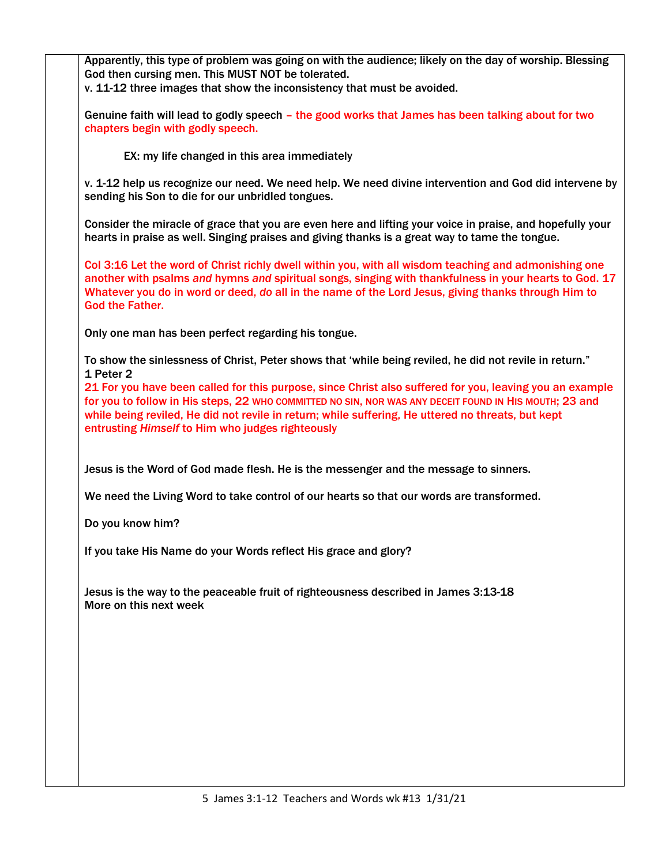Apparently, this type of problem was going on with the audience; likely on the day of worship. Blessing God then cursing men. This MUST NOT be tolerated. v. 11-12 three images that show the inconsistency that must be avoided. Genuine faith will lead to godly speech – the good works that James has been talking about for two chapters begin with godly speech. EX: my life changed in this area immediately v. 1-12 help us recognize our need. We need help. We need divine intervention and God did intervene by sending his Son to die for our unbridled tongues. Consider the miracle of grace that you are even here and lifting your voice in praise, and hopefully your hearts in praise as well. Singing praises and giving thanks is a great way to tame the tongue. Col 3:16 Let the word of Christ richly dwell within you, with all wisdom teaching and admonishing one another with psalms *and* hymns *and* spiritual songs, singing with thankfulness in your hearts to God. 17 Whatever you do in word or deed, *do* all in the name of the Lord Jesus, giving thanks through Him to God the Father. Only one man has been perfect regarding his tongue. To show the sinlessness of Christ, Peter shows that 'while being reviled, he did not revile in return." 1 Peter 2 21 For you have been called for this purpose, since Christ also suffered for you, leaving you an example for you to follow in His steps, 22 WHO COMMITTED NO SIN, NOR WAS ANY DECEIT FOUND IN HIS MOUTH; 23 and while being reviled, He did not revile in return; while suffering, He uttered no threats, but kept entrusting *Himself* to Him who judges righteously Jesus is the Word of God made flesh. He is the messenger and the message to sinners. We need the Living Word to take control of our hearts so that our words are transformed. Do you know him? If you take His Name do your Words reflect His grace and glory? Jesus is the way to the peaceable fruit of righteousness described in James 3:13-18 More on this next week